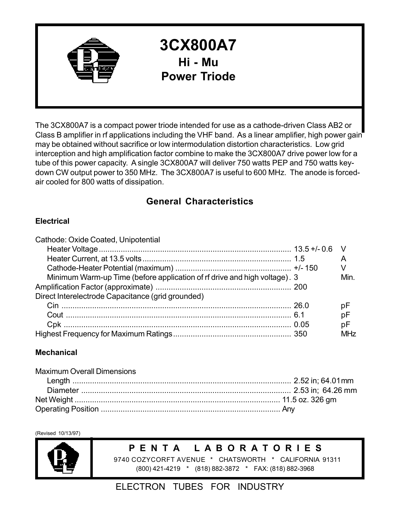

# **3CX800A7 Hi - Mu Power Triode**

The 3CX800A7 is a compact power triode intended for use as a cathode-driven Class AB2 or Class B amplifier in rf applications including the VHF band. As a linear amplifier, high power gain may be obtained without sacrifice or low intermodulation distortion characteristics. Low grid interception and high amplification factor combine to make the 3CX800A7 drive power low for a tube of this power capacity. A single 3CX800A7 will deliver 750 watts PEP and 750 watts keydown CW output power to 350 MHz. The 3CX800A7 is useful to 600 MHz. The anode is forcedair cooled for 800 watts of dissipation.

# **General Characteristics**

## **Electrical**

| Cathode: Oxide Coated, Unipotential                                       |                       |
|---------------------------------------------------------------------------|-----------------------|
|                                                                           |                       |
|                                                                           |                       |
|                                                                           |                       |
| Minimum Warm-up Time (before application of rf drive and high voltage). 3 | Min.                  |
|                                                                           |                       |
| Direct Interelectrode Capacitance (grid grounded)                         |                       |
|                                                                           | рF                    |
|                                                                           | рF                    |
|                                                                           | рF                    |
|                                                                           | <b>MH<sub>7</sub></b> |

## **Mechanical**

| <b>Maximum Overall Dimensions</b> |  |
|-----------------------------------|--|
|                                   |  |
|                                   |  |
|                                   |  |
|                                   |  |

(Revised 10/13/97)



# **P E N T A L A B O R A T O R I E S**

9740 COZYCORFT AVENUE \* CHATSWORTH \* CALIFORNIA 91311 (800) 421-4219 \* (818) 882-3872 \* FAX: (818) 882-3968

# ELECTRON TUBES FOR INDUSTRY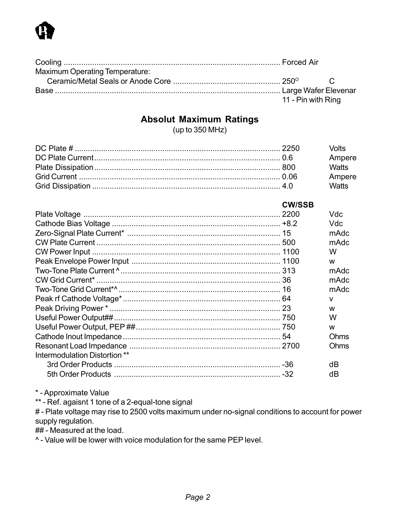

| <b>Maximum Operating Temperature:</b> |                    |  |  |
|---------------------------------------|--------------------|--|--|
|                                       |                    |  |  |
|                                       |                    |  |  |
|                                       | 11 - Pin with Ring |  |  |

# **Absolut Maximum Ratings**

(up to 350 MHz)

|  | <b>Volts</b> |
|--|--------------|
|  | Ampere       |
|  | <b>Watts</b> |
|  | Ampere       |
|  | <b>Watts</b> |

|                               | <b>CW/SSB</b> |              |
|-------------------------------|---------------|--------------|
|                               |               | Vdc          |
|                               |               | Vdc          |
|                               |               | mAdc         |
|                               |               | mAdc         |
|                               |               | W            |
|                               |               | W            |
|                               |               | mAdc         |
|                               |               | mAdc         |
|                               |               | mAdc         |
|                               |               | $\mathsf{V}$ |
|                               |               | W            |
|                               |               | W            |
|                               |               | W            |
|                               |               | Ohms         |
|                               |               | Ohms         |
| Intermodulation Distortion ** |               |              |
|                               |               | dB           |
|                               |               | dВ           |

\* - Approximate Value

\*\* - Ref. agaisnt 1 tone of a 2-equal-tone signal

# - Plate voltage may rise to 2500 volts maximum under no-signal conditions to account for power supply regulation.

## - Measured at the load.

^ - Value will be lower with voice modulation for the same PEP level.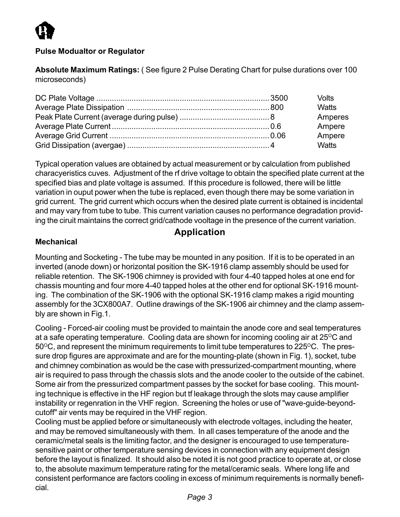

### **Pulse Modualtor or Regulator**

**Absolute Maximum Ratings:** ( See figure 2 Pulse Derating Chart for pulse durations over 100 microseconds)

|  | Volts        |  |
|--|--------------|--|
|  | <b>Watts</b> |  |
|  | Amperes      |  |
|  | Ampere       |  |
|  | Ampere       |  |
|  | Watts        |  |

Typical operation values are obtained by actual measurement or by calculation from published characyeristics cuves. Adjustment of the rf drive voltage to obtain the specified plate current at the specified bias and plate voltage is assumed. If this procedure is followed, there will be little variation in ouput power when the tube is replaced, even though there may be some variation in grid current. The grid current which occurs when the desired plate current is obtained is incidental and may vary from tube to tube. This current variation causes no performance degradation providing the ciruit maintains the correct grid/cathode vooltage in the presence of the current variation.

# **Application**

#### **Mechanical**

Mounting and Socketing - The tube may be mounted in any position. If it is to be operated in an inverted (anode down) or horizontal position the SK-1916 clamp assembly should be used for reliable retention. The SK-1906 chimney is provided with four 4-40 tapped holes at one end for chassis mounting and four more 4-40 tapped holes at the other end for optional SK-1916 mounting. The combination of the SK-1906 with the optional SK-1916 clamp makes a rigid mounting assembly for the 3CX800A7. Outline drawings of the SK-1906 air chimney and the clamp assembly are shown in Fig.1.

Cooling - Forced-air cooling must be provided to maintain the anode core and seal temperatures at a safe operating temperature. Cooling data are shown for incoming cooling air at  $25^{\circ}$ C and  $50^{\circ}$ C, and represent the minimum requirements to limit tube temperatures to 225 $^{\circ}$ C. The pressure drop figures are approximate and are for the mounting-plate (shown in Fig. 1), socket, tube and chimney combination as would be the case with pressurized-compartment mounting, where air is required to pass through the chassis slots and the anode cooler to the outside of the cabinet. Some air from the pressurized compartment passes by the socket for base cooling. This mounting technique is effective in the HF region but tf leakage through the slots may cause amplifier instability or regenration in the VHF region. Screening the holes or use of "wave-guide-beyondcutoff" air vents may be required in the VHF region.

Cooling must be applied before or simultaneously with electrode voltages, including the heater, and may be removed simultaneously with them. In all cases temperature of the anode and the ceramic/metal seals is the limiting factor, and the designer is encouraged to use temperaturesensitive paint or other temperature sensing devices in connection with any equipment design before the layout is finalized. It should also be noted it is not good practice to operate at, or close to, the absolute maximum temperature rating for the metal/ceramic seals. Where long life and consistent performance are factors cooling in excess of minimum requirements is normally beneficial.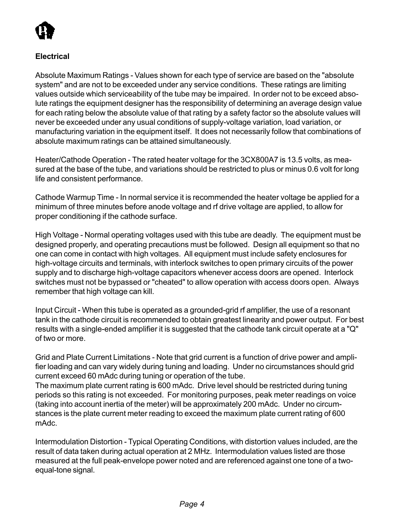

### **Electrical**

Absolute Maximum Ratings - Values shown for each type of service are based on the "absolute system" and are not to be exceeded under any service conditions. These ratings are limiting values outside which serviceability of the tube may be impaired. In order not to be exceed absolute ratings the equipment designer has the responsibility of determining an average design value for each rating below the absolute value of that rating by a safety factor so the absolute values will never be exceeded under any usual conditions of supply-voltage variation, load variation, or manufacturing variation in the equipment itself. It does not necessarily follow that combinations of absolute maximum ratings can be attained simultaneously.

Heater/Cathode Operation - The rated heater voltage for the 3CX800A7 is 13.5 volts, as measured at the base of the tube, and variations should be restricted to plus or minus 0.6 volt for long life and consistent performance.

Cathode Warmup Time - In normal service it is recommended the heater voltage be applied for a minimum of three minutes before anode voltage and rf drive voltage are applied, to allow for proper conditioning if the cathode surface.

High Voltage - Normal operating voltages used with this tube are deadly. The equipment must be designed properly, and operating precautions must be followed. Design all equipment so that no one can come in contact with high voltages. All equipment must include safety enclosures for high-voltage circuits and terminals, with interlock switches to open primary circuits of the power supply and to discharge high-voltage capacitors whenever access doors are opened. Interlock switches must not be bypassed or "cheated" to allow operation with access doors open. Always remember that high voltage can kill.

Input Circuit - When this tube is operated as a grounded-grid rf amplifier, the use of a resonant tank in the cathode circuit is recommended to obtain greatest linearity and power output. For best results with a single-ended amplifier it is suggested that the cathode tank circuit operate at a "Q" of two or more.

Grid and Plate Current Limitations - Note that grid current is a function of drive power and amplifier loading and can vary widely during tuning and loading. Under no circumstances should grid current exceed 60 mAdc during tuning or operation of the tube.

The maximum plate current rating is 600 mAdc. Drive level should be restricted during tuning periods so this rating is not exceeded. For monitoring purposes, peak meter readings on voice (taking into account inertia of the meter) will be approximately 200 mAdc. Under no circumstances is the plate current meter reading to exceed the maximum plate current rating of 600 mAdc.

Intermodulation Distortion - Typical Operating Conditions, with distortion values included, are the result of data taken during actual operation at 2 MHz. Intermodulation values listed are those measured at the full peak-envelope power noted and are referenced against one tone of a twoequal-tone signal.